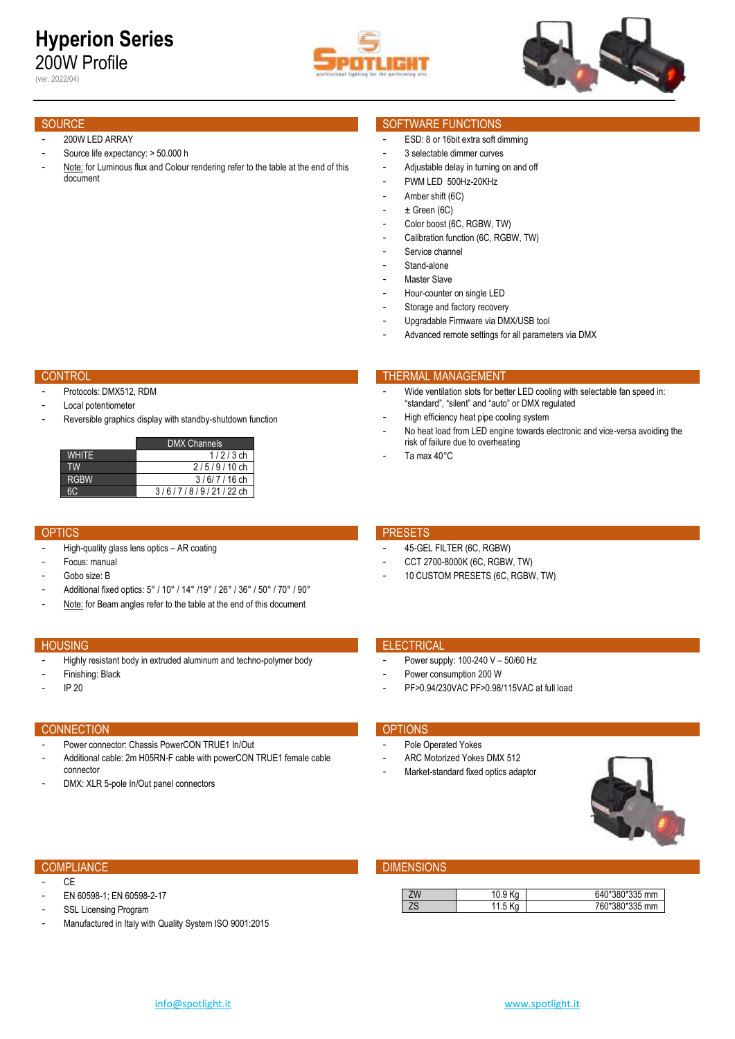# **Hyperion Series** 200W Profile

(ver. 2022/04)





## SOURCE SOURCE SOURCE SOURCE SOURCE SOURCE SOURCE SOURCE SOURCE SOURCE SOURCE SOURCE SOURCE SOURCE SOURCE SOURCE

### 200W LED ARRAY

- Source life expectancy: > 50.000 h
- Note: for Luminous flux and Colour rendering refer to the table at the end of this document

- Protocols: DMX512, RDM
- Local potentiometer
- Reversible graphics display with standby-shutdown function

|              | <b>DMX Channels</b>  |
|--------------|----------------------|
| <b>WHITE</b> | $1/2/3$ ch           |
| <b>TW</b>    | $2/5/9/10$ ch        |
| <b>RGBW</b>  | $3/6/7/16$ ch        |
| 6C.          | $3/6/7/8/9/21/22$ ch |

- High-quality glass lens optics AR coating
- Focus: manual
- Gobo size: B
- Additional fixed optics: 5° / 10° / 14° /19° / 26° / 36° / 50° / 70° / 90°
- Note: for Beam angles refer to the table at the end of this document

- Highly resistant body in extruded aluminum and techno-polymer body
- Finishing: Black
- IP 20

## CONNECTION **CONNECTION**

- Power connector: Chassis PowerCON TRUE1 In/Out - Additional cable: 2m H05RN-F cable with powerCON TRUE1 female cable connector
- DMX: XLR 5-pole In/Out panel connectors

# CONTROL THERMAL MANAGEMENT CONTROL THERMAL MANAGEMENT

Hour-counter on single LED Storage and factory recovery - Upgradable Firmware via DMX/USB tool

- Service channel - Stand-alone Master Slave

Wide ventilation slots for better LED cooling with selectable fan speed in: "standard", "silent" and "auto" or DMX regulated

Advanced remote settings for all parameters via DMX

High efficiency heat pipe cooling system

ESD: 8 or 16bit extra soft dimming 3 selectable dimmer curves Adjustable delay in turning on and off PWM LED 500Hz-20KHz Amber shift (6C)  $\pm$  Green (6C) - Color boost (6C, RGBW, TW) - Calibration function (6C, RGBW, TW)

- No heat load from LED engine towards electronic and vice-versa avoiding the risk of failure due to overheating
- Ta max 40°C

# OPTICS **PRESETS**

- 45-GEL FILTER (6C, RGBW)
- CCT 2700-8000K (6C, RGBW, TW)
- 10 CUSTOM PRESETS (6C, RGBW, TW)

# HOUSING ELECTRICAL CONTROL CONTROL CONTROL CONTROL CONTROL CONTROL CONTROL CONTROL CONTROL CONTROL CONTROL CONTROL CONTROL CONTROL CONTROL CONTROL CONTROL CONTROL CONTROL CONTROL CONTROL CONTROL CONTROL CONTROL CONTROL CON

- Power supply: 100-240 V 50/60 Hz
- Power consumption 200 W
- PF>0.94/230VAC PF>0.98/115VAC at full load

- Pole Operated Yokes
- ARC Motorized Yokes DMX 512
- Market-standard fixed optics adaptor



## **COMPLIANCE DIMENSIONS**

| ΖW        |      | 0*380*335 mm<br>640 <sup>-</sup> |
|-----------|------|----------------------------------|
| 70<br>י י | ل. ا | *380*335 mm<br>760               |

- $C<sub>F</sub>$
- EN 60598-1; EN 60598-2-17
- SSL Licensing Program
- Manufactured in Italy with Quality System ISO 9001:2015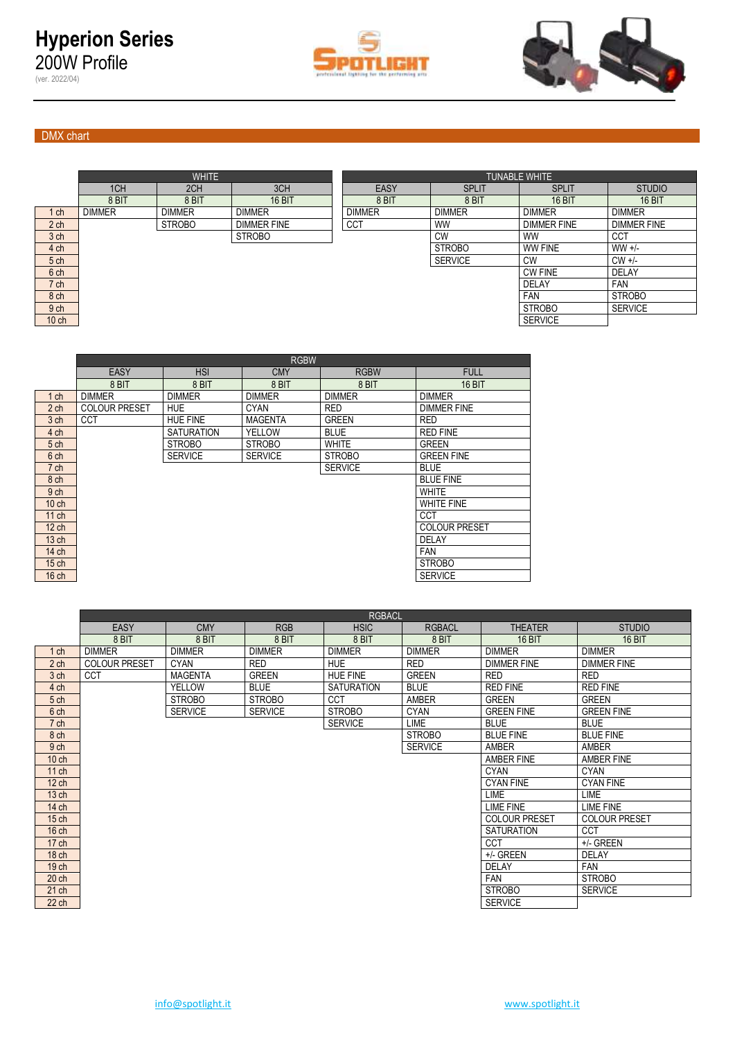(ver. 2022/04)





# DMX chart

|                 |               | <b>WHITE</b>  |                    |               | <b>TUNABLE WHITE</b> |                    |                    |
|-----------------|---------------|---------------|--------------------|---------------|----------------------|--------------------|--------------------|
|                 | 1CH           | 2CH           | 3CH                | EASY          | <b>SPLIT</b>         | <b>SPLIT</b>       | <b>STUDIO</b>      |
|                 | 8 BIT         | 8 BIT         | <b>16 BIT</b>      | 8 BIT         | 8 BIT                | <b>16 BIT</b>      | <b>16 BIT</b>      |
| 1 ch            | <b>DIMMER</b> | <b>DIMMER</b> | <b>DIMMER</b>      | <b>DIMMER</b> | <b>DIMMER</b>        | <b>DIMMER</b>      | <b>DIMMER</b>      |
| 2 <sub>ch</sub> |               | <b>STROBO</b> | <b>DIMMER FINE</b> | <b>CCT</b>    | <b>WW</b>            | <b>DIMMER FINE</b> | <b>DIMMER FINE</b> |
| 3 ch            |               |               | <b>STROBO</b>      |               | <b>CW</b>            | <b>WW</b>          | <b>CCT</b>         |
| 4 ch            |               |               |                    |               | <b>STROBO</b>        | WW FINE            | $WW +/-$           |
| 5 ch            |               |               |                    |               | <b>SERVICE</b>       | <b>CW</b>          | $CW +/-$           |
| 6 ch            |               |               |                    |               |                      | <b>CW FINE</b>     | <b>DELAY</b>       |
| 7 ch            |               |               |                    |               |                      | <b>DELAY</b>       | <b>FAN</b>         |
| 8 ch            |               |               |                    |               |                      | <b>FAN</b>         | <b>STROBO</b>      |
| 9 <sub>ch</sub> |               |               |                    |               |                      | <b>STROBO</b>      | <b>SERVICE</b>     |
| $10$ ch         |               |               |                    |               |                      | <b>SERVICE</b>     |                    |

|                  | <b>EASY</b>          | <b>HSI</b>        | <b>CMY</b>     | <b>RGBW</b>    | <b>FULL</b>          |
|------------------|----------------------|-------------------|----------------|----------------|----------------------|
|                  | 8 BIT                | 8 BIT             | 8 BIT          | 8 BIT          | <b>16 BIT</b>        |
| $1$ ch           | <b>DIMMER</b>        | <b>DIMMER</b>     | <b>DIMMER</b>  | <b>DIMMER</b>  | <b>DIMMER</b>        |
| 2 <sub>ch</sub>  | <b>COLOUR PRESET</b> | <b>HUE</b>        | <b>CYAN</b>    | <b>RED</b>     | <b>DIMMER FINE</b>   |
| 3 <sub>ch</sub>  | <b>CCT</b>           | <b>HUE FINE</b>   | <b>MAGENTA</b> | <b>GREEN</b>   | <b>RED</b>           |
| 4 ch             |                      | <b>SATURATION</b> | YELLOW         | <b>BLUE</b>    | <b>RED FINE</b>      |
| 5 <sub>ch</sub>  |                      | <b>STROBO</b>     | <b>STROBO</b>  | <b>WHITE</b>   | <b>GREEN</b>         |
| 6 ch             |                      | <b>SERVICE</b>    | <b>SERVICE</b> | <b>STROBO</b>  | <b>GREEN FINE</b>    |
| 7 ch             |                      |                   |                | <b>SERVICE</b> | <b>BLUE</b>          |
| 8 ch             |                      |                   |                |                | <b>BLUE FINE</b>     |
| 9 <sub>ch</sub>  |                      |                   |                |                | <b>WHITE</b>         |
| $10$ ch          |                      |                   |                |                | <b>WHITE FINE</b>    |
| $11$ ch          |                      |                   |                |                | <b>CCT</b>           |
| $12$ ch          |                      |                   |                |                | <b>COLOUR PRESET</b> |
| 13 <sub>ch</sub> |                      |                   |                |                | DELAY                |
| 14 ch            |                      |                   |                |                | <b>FAN</b>           |
| 15 <sub>ch</sub> |                      |                   |                |                | <b>STROBO</b>        |
| $16$ ch          |                      |                   |                |                | <b>SERVICE</b>       |
|                  |                      |                   |                |                |                      |

|                  |                      |                | <b>RGBACL</b>  |                   |                |                      |                      |
|------------------|----------------------|----------------|----------------|-------------------|----------------|----------------------|----------------------|
|                  | <b>EASY</b>          | <b>CMY</b>     | <b>RGB</b>     | <b>HSIC</b>       | <b>RGBACL</b>  | <b>THEATER</b>       | <b>STUDIO</b>        |
|                  | 8 BIT                | 8 BIT          | 8 BIT          | 8 BIT             | 8 BIT          | <b>16 BIT</b>        | <b>16 BIT</b>        |
| $1$ ch           | <b>DIMMER</b>        | <b>DIMMER</b>  | <b>DIMMER</b>  | <b>DIMMER</b>     | <b>DIMMER</b>  | <b>DIMMER</b>        | <b>DIMMER</b>        |
| 2 <sub>ch</sub>  | <b>COLOUR PRESET</b> | <b>CYAN</b>    | <b>RED</b>     | <b>HUE</b>        | <b>RED</b>     | <b>DIMMER FINE</b>   | <b>DIMMER FINE</b>   |
| 3 ch             | <b>CCT</b>           | <b>MAGENTA</b> | <b>GREEN</b>   | <b>HUE FINE</b>   | <b>GREEN</b>   | <b>RED</b>           | <b>RED</b>           |
| 4 ch             |                      | <b>YELLOW</b>  | <b>BLUE</b>    | <b>SATURATION</b> | <b>BLUE</b>    | <b>RED FINE</b>      | <b>RED FINE</b>      |
| 5 <sub>ch</sub>  |                      | <b>STROBO</b>  | <b>STROBO</b>  | CCT               | <b>AMBER</b>   | <b>GREEN</b>         | <b>GREEN</b>         |
| 6 ch             |                      | <b>SERVICE</b> | <b>SERVICE</b> | <b>STROBO</b>     | <b>CYAN</b>    | <b>GREEN FINE</b>    | <b>GREEN FINE</b>    |
| 7 ch             |                      |                |                | <b>SERVICE</b>    | LIME           | <b>BLUE</b>          | <b>BLUE</b>          |
| 8 ch             |                      |                |                |                   | <b>STROBO</b>  | <b>BLUE FINE</b>     | <b>BLUE FINE</b>     |
| 9 <sub>ch</sub>  |                      |                |                |                   | <b>SERVICE</b> | AMBER                | <b>AMBER</b>         |
| $10$ ch          |                      |                |                |                   |                | AMBER FINE           | AMBER FINE           |
| $11$ ch          |                      |                |                |                   |                | <b>CYAN</b>          | <b>CYAN</b>          |
| $12$ ch          |                      |                |                |                   |                | <b>CYAN FINE</b>     | <b>CYAN FINE</b>     |
| 13 <sub>ch</sub> |                      |                |                |                   |                | <b>LIME</b>          | LIME                 |
| 14 ch            |                      |                |                |                   |                | <b>LIME FINE</b>     | LIME FINE            |
| $15$ ch          |                      |                |                |                   |                | <b>COLOUR PRESET</b> | <b>COLOUR PRESET</b> |
| 16 <sub>ch</sub> |                      |                |                |                   |                | <b>SATURATION</b>    | <b>CCT</b>           |
| 17 ch            |                      |                |                |                   |                | <b>CCT</b>           | +/- GREEN            |
| 18 ch            |                      |                |                |                   |                | +/- GREEN            | <b>DELAY</b>         |
| 19 ch            |                      |                |                |                   |                | <b>DELAY</b>         | <b>FAN</b>           |
| 20 <sub>ch</sub> |                      |                |                |                   |                | <b>FAN</b>           | <b>STROBO</b>        |
| 21 ch            |                      |                |                |                   |                | <b>STROBO</b>        | <b>SERVICE</b>       |
| 22 ch            |                      |                |                |                   |                | <b>SERVICE</b>       |                      |